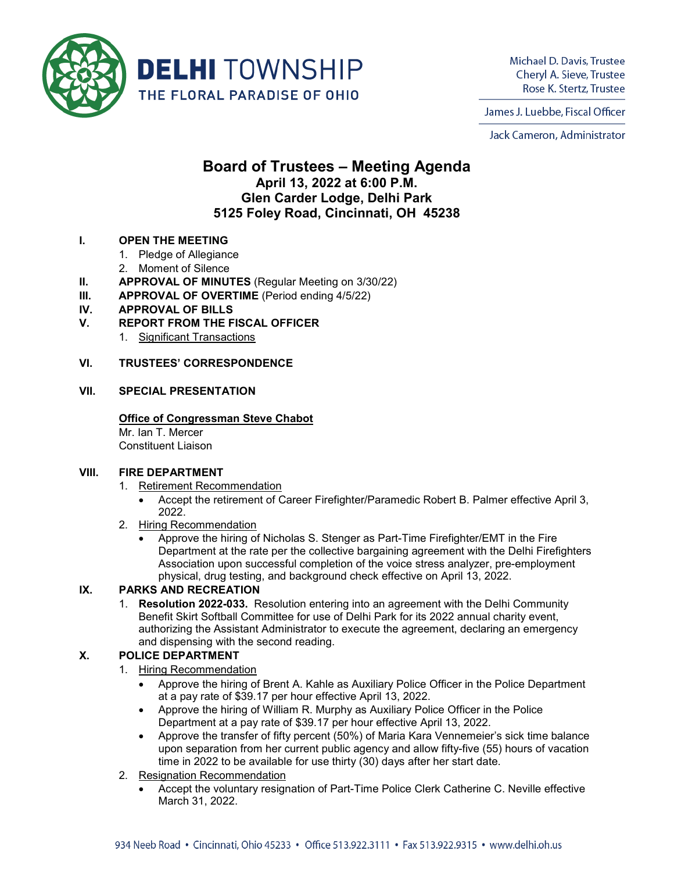

Michael D. Davis, Trustee Cheryl A. Sieve, Trustee Rose K. Stertz, Trustee

James J. Luebbe, Fiscal Officer

Jack Cameron, Administrator

# **Board of Trustees – Meeting Agenda April 13, 2022 at 6:00 P.M. Glen Carder Lodge, Delhi Park 5125 Foley Road, Cincinnati, OH 45238**

## **I. OPEN THE MEETING**

- 1. Pledge of Allegiance
- 2. Moment of Silence
- **II. APPROVAL OF MINUTES** (Regular Meeting on 3/30/22)
- **III. APPROVAL OF OVERTIME** (Period ending 4/5/22)
- **IV. APPROVAL OF BILLS**
- **V. REPORT FROM THE FISCAL OFFICER**
	- 1. Significant Transactions

## **VI. TRUSTEES' CORRESPONDENCE**

#### **VII. SPECIAL PRESENTATION**

#### **Office of Congressman Steve Chabot**

Mr. Ian T. Mercer Constituent Liaison

#### **VIII. FIRE DEPARTMENT**

- 1. Retirement Recommendation
	- Accept the retirement of Career Firefighter/Paramedic Robert B. Palmer effective April 3, 2022.
- 2. Hiring Recommendation
	- Approve the hiring of Nicholas S. Stenger as Part-Time Firefighter/EMT in the Fire Department at the rate per the collective bargaining agreement with the Delhi Firefighters Association upon successful completion of the voice stress analyzer, pre-employment physical, drug testing, and background check effective on April 13, 2022.

## **IX. PARKS AND RECREATION**

1. **Resolution 2022-033.** Resolution entering into an agreement with the Delhi Community Benefit Skirt Softball Committee for use of Delhi Park for its 2022 annual charity event, authorizing the Assistant Administrator to execute the agreement, declaring an emergency and dispensing with the second reading.

## **X. POLICE DEPARTMENT**

- 1. Hiring Recommendation
	- Approve the hiring of Brent A. Kahle as Auxiliary Police Officer in the Police Department at a pay rate of \$39.17 per hour effective April 13, 2022.
	- Approve the hiring of William R. Murphy as Auxiliary Police Officer in the Police Department at a pay rate of \$39.17 per hour effective April 13, 2022.
	- Approve the transfer of fifty percent (50%) of Maria Kara Vennemeier's sick time balance upon separation from her current public agency and allow fifty-five (55) hours of vacation time in 2022 to be available for use thirty (30) days after her start date.
- 2. Resignation Recommendation
	- Accept the voluntary resignation of Part-Time Police Clerk Catherine C. Neville effective March 31, 2022.